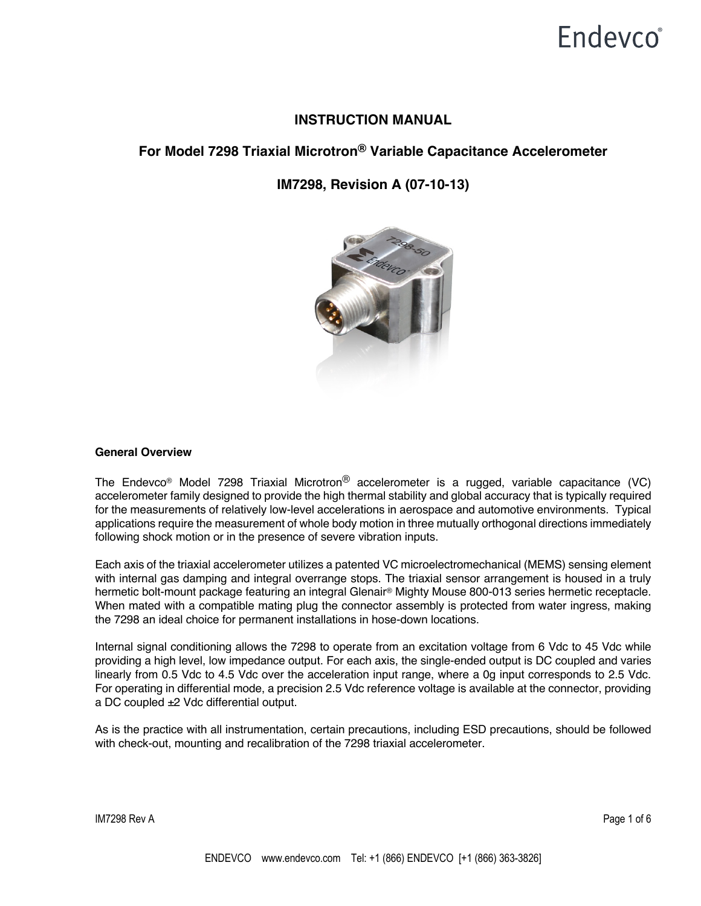# **Endevco**<sup>®</sup>

## **INSTRUCTION MANUAL**

## **For Model 7298 Triaxial Microtron® Variable Capacitance Accelerometer**

## **IM7298, Revision A (07-10-13)**



### **General Overview**

The Endevco® Model 7298 Triaxial Microtron® accelerometer is a rugged, variable capacitance (VC) accelerometer family designed to provide the high thermal stability and global accuracy that is typically required for the measurements of relatively low-level accelerations in aerospace and automotive environments. Typical applications require the measurement of whole body motion in three mutually orthogonal directions immediately following shock motion or in the presence of severe vibration inputs.

Each axis of the triaxial accelerometer utilizes a patented VC microelectromechanical (MEMS) sensing element with internal gas damping and integral overrange stops. The triaxial sensor arrangement is housed in a truly hermetic bolt-mount package featuring an integral Glenair® Mighty Mouse 800-013 series hermetic receptacle. When mated with a compatible mating plug the connector assembly is protected from water ingress, making the 7298 an ideal choice for permanent installations in hose-down locations.

Internal signal conditioning allows the 7298 to operate from an excitation voltage from 6 Vdc to 45 Vdc while providing a high level, low impedance output. For each axis, the single-ended output is DC coupled and varies linearly from 0.5 Vdc to 4.5 Vdc over the acceleration input range, where a 0g input corresponds to 2.5 Vdc. For operating in differential mode, a precision 2.5 Vdc reference voltage is available at the connector, providing a DC coupled ±2 Vdc differential output.

As is the practice with all instrumentation, certain precautions, including ESD precautions, should be followed with check-out, mounting and recalibration of the 7298 triaxial accelerometer.

IM7298 Rev A Page 1 of 6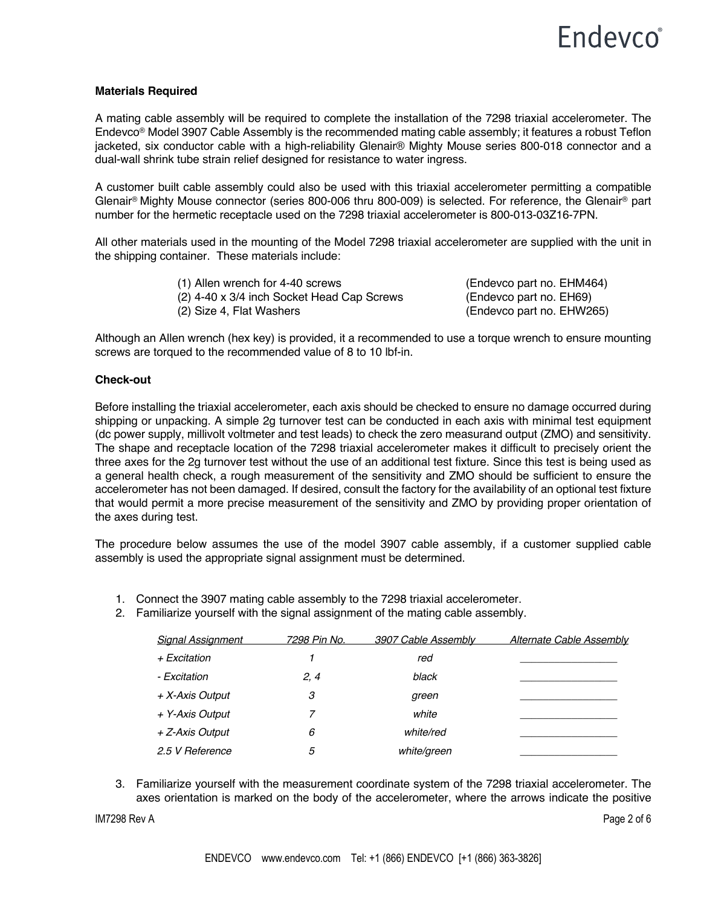### **Materials Required**

A mating cable assembly will be required to complete the installation of the 7298 triaxial accelerometer. The Endevco® Model 3907 Cable Assembly is the recommended mating cable assembly; it features a robust Teflon jacketed, six conductor cable with a high-reliability Glenair® Mighty Mouse series 800-018 connector and a dual-wall shrink tube strain relief designed for resistance to water ingress.

A customer built cable assembly could also be used with this triaxial accelerometer permitting a compatible Glenair® Mighty Mouse connector (series 800-006 thru 800-009) is selected. For reference, the Glenair® part number for the hermetic receptacle used on the 7298 triaxial accelerometer is 800-013-03Z16-7PN.

All other materials used in the mounting of the Model 7298 triaxial accelerometer are supplied with the unit in the shipping container. These materials include:

> (1) Allen wrench for 4-40 screws (Endevco part no. EHM464) (2) 4-40 x 3/4 inch Socket Head Cap Screws (Endevco part no. EH69) (2) Size 4, Flat Washers (Endevco part no. EHW265)

Although an Allen wrench (hex key) is provided, it a recommended to use a torque wrench to ensure mounting screws are torqued to the recommended value of 8 to 10 lbf-in.

#### **Check-out**

Before installing the triaxial accelerometer, each axis should be checked to ensure no damage occurred during shipping or unpacking. A simple 2g turnover test can be conducted in each axis with minimal test equipment (dc power supply, millivolt voltmeter and test leads) to check the zero measurand output (ZMO) and sensitivity. The shape and receptacle location of the 7298 triaxial accelerometer makes it difficult to precisely orient the three axes for the 2g turnover test without the use of an additional test fixture. Since this test is being used as a general health check, a rough measurement of the sensitivity and ZMO should be sufficient to ensure the accelerometer has not been damaged. If desired, consult the factory for the availability of an optional test fixture that would permit a more precise measurement of the sensitivity and ZMO by providing proper orientation of the axes during test.

The procedure below assumes the use of the model 3907 cable assembly, if a customer supplied cable assembly is used the appropriate signal assignment must be determined.

- 1. Connect the 3907 mating cable assembly to the 7298 triaxial accelerometer.
- 2. Familiarize yourself with the signal assignment of the mating cable assembly.

| <b>Signal Assignment</b> | 7298 Pin No. | 3907 Cable Assembly | <b>Alternate Cable Assembly</b> |
|--------------------------|--------------|---------------------|---------------------------------|
| + Excitation             |              | red                 |                                 |
| - Excitation             | 2, 4         | black               |                                 |
| + X-Axis Output          | 3            | green               |                                 |
| + Y-Axis Output          |              | white               |                                 |
| + Z-Axis Output          | 6            | white/red           |                                 |
| 2.5 V Reference          | 5            | white/green         |                                 |

3. Familiarize yourself with the measurement coordinate system of the 7298 triaxial accelerometer. The axes orientation is marked on the body of the accelerometer, where the arrows indicate the positive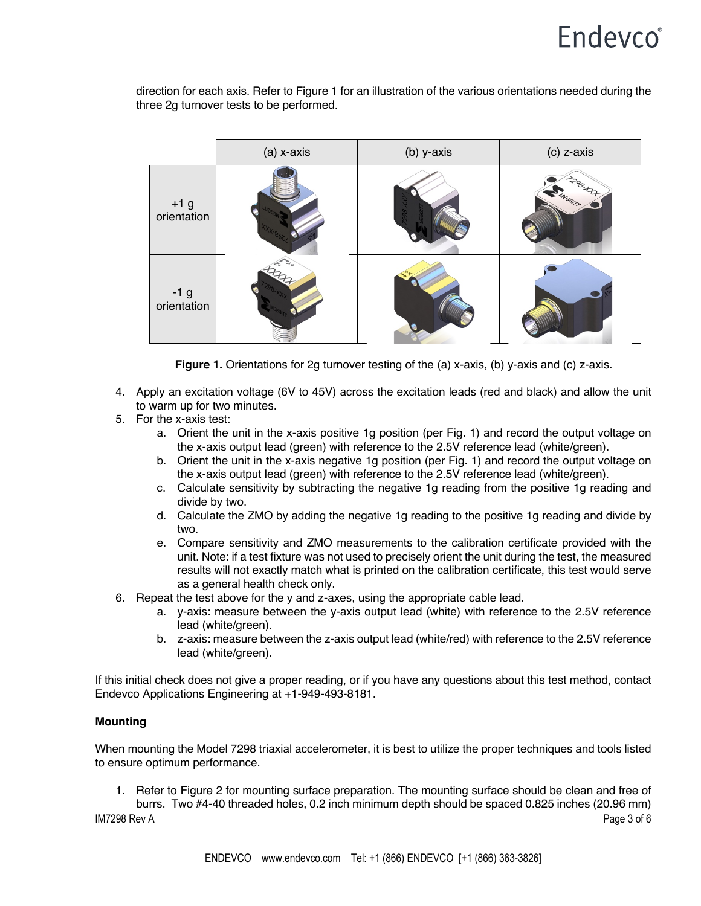# Endevco<sup>®</sup>

direction for each axis. Refer to Figure 1 for an illustration of the various orientations needed during the three 2g turnover tests to be performed.



Figure 1. Orientations for 2g turnover testing of the (a) x-axis, (b) y-axis and (c) z-axis.

- 4. Apply an excitation voltage (6V to 45V) across the excitation leads (red and black) and allow the unit to warm up for two minutes.
- 5. For the x-axis test:
	- a. Orient the unit in the x-axis positive 1g position (per Fig. 1) and record the output voltage on the x-axis output lead (green) with reference to the 2.5V reference lead (white/green).
	- b. Orient the unit in the x-axis negative 1g position (per Fig. 1) and record the output voltage on the x-axis output lead (green) with reference to the 2.5V reference lead (white/green).
	- c. Calculate sensitivity by subtracting the negative 1g reading from the positive 1g reading and divide by two.
	- d. Calculate the ZMO by adding the negative 1g reading to the positive 1g reading and divide by two.
	- e. Compare sensitivity and ZMO measurements to the calibration certificate provided with the unit. Note: if a test fixture was not used to precisely orient the unit during the test, the measured results will not exactly match what is printed on the calibration certificate, this test would serve as a general health check only.
- 6. Repeat the test above for the y and z-axes, using the appropriate cable lead.
	- a. y-axis: measure between the y-axis output lead (white) with reference to the 2.5V reference lead (white/green).
	- b. z-axis: measure between the z-axis output lead (white/red) with reference to the 2.5V reference lead (white/green).

If this initial check does not give a proper reading, or if you have any questions about this test method, contact Endevco Applications Engineering at +1-949-493-8181.

### **Mounting**

When mounting the Model 7298 triaxial accelerometer, it is best to utilize the proper techniques and tools listed to ensure optimum performance.

1. Refer to Figure 2 for mounting surface preparation. The mounting surface should be clean and free of burrs. Two #4-40 threaded holes, 0.2 inch minimum depth should be spaced 0.825 inches (20.96 mm)

IM7298 Rev A Page 3 of 6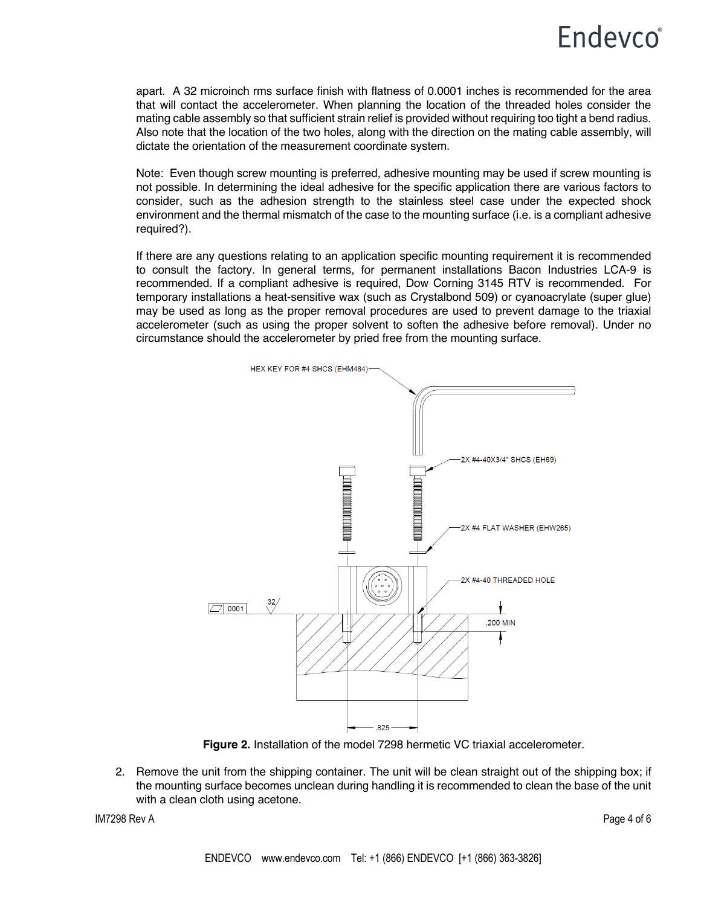# **Endevco**<sup>®</sup>

apart. A 32 microinch rms surface finish with flatness of 0.0001 inches is recommended for the area that will contact the accelerometer. When planning the location of the threaded holes consider the mating cable assembly so that sufficient strain relief is provided without requiring too tight a bend radius. Also note that the location of the two holes, along with the direction on the mating cable assembly, will dictate the orientation of the measurement coordinate system.

Note: Even though screw mounting is preferred, adhesive mounting may be used if screw mounting is not possible. In determining the ideal adhesive for the specific application there are various factors to consider, such as the adhesion strength to the stainless steel case under the expected shock environment and the thermal mismatch of the case to the mounting surface (i.e. is a compliant adhesive required?).

If there are any questions relating to an application specific mounting requirement it is recommended to consult the factory. In general terms, for permanent installations Bacon Industries LCA-9 is recommended. If a compliant adhesive is required, Dow Corning 3145 RTV is recommended. For temporary installations a heat-sensitive wax (such as Crystalbond 509) or cyanoacrylate (super glue) may be used as long as the proper removal procedures are used to prevent damage to the triaxial accelerometer (such as using the proper solvent to soften the adhesive before removal). Under no circumstance should the accelerometer by pried free from the mounting surface.



**Figure 2.** Installation of the model 7298 hermetic VC triaxial accelerometer.

2. Remove the unit from the shipping container. The unit will be clean straight out of the shipping box; if the mounting surface becomes unclean during handling it is recommended to clean the base of the unit with a clean cloth using acetone.

IM7298 Rev A Page 4 of 6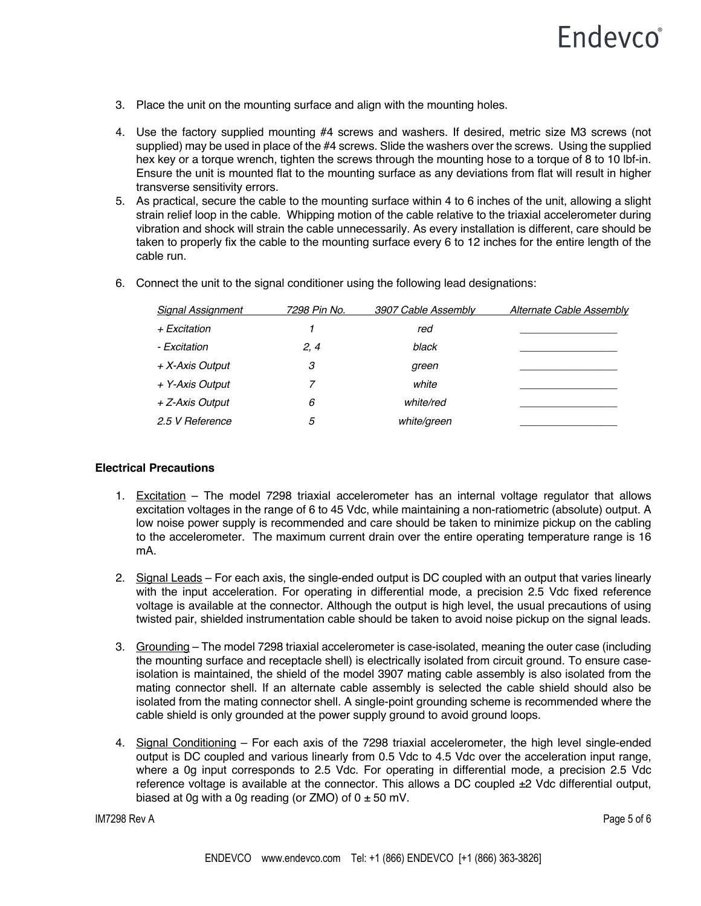- 3. Place the unit on the mounting surface and align with the mounting holes.
- 4. Use the factory supplied mounting #4 screws and washers. If desired, metric size M3 screws (not supplied) may be used in place of the #4 screws. Slide the washers over the screws. Using the supplied hex key or a torque wrench, tighten the screws through the mounting hose to a torque of 8 to 10 lbf-in. Ensure the unit is mounted flat to the mounting surface as any deviations from flat will result in higher transverse sensitivity errors.
- 5. As practical, secure the cable to the mounting surface within 4 to 6 inches of the unit, allowing a slight strain relief loop in the cable. Whipping motion of the cable relative to the triaxial accelerometer during vibration and shock will strain the cable unnecessarily. As every installation is different, care should be taken to properly fix the cable to the mounting surface every 6 to 12 inches for the entire length of the cable run.

| <b>Signal Assignment</b> | 7298 Pin No. | 3907 Cable Assembly | <b>Alternate Cable Assembly</b> |
|--------------------------|--------------|---------------------|---------------------------------|
| + Excitation             |              | red                 |                                 |
| - Excitation             | 2, 4         | black               |                                 |
| + X-Axis Output          | 3            | green               |                                 |
| + Y-Axis Output          |              | white               |                                 |
| + Z-Axis Output          | 6            | white/red           |                                 |
| 2.5 V Reference          | 5            | white/green         |                                 |
|                          |              |                     |                                 |

6. Connect the unit to the signal conditioner using the following lead designations:

### **Electrical Precautions**

- 1. Excitation The model 7298 triaxial accelerometer has an internal voltage regulator that allows excitation voltages in the range of 6 to 45 Vdc, while maintaining a non-ratiometric (absolute) output. A low noise power supply is recommended and care should be taken to minimize pickup on the cabling to the accelerometer. The maximum current drain over the entire operating temperature range is 16 mA.
- 2. Signal Leads For each axis, the single-ended output is DC coupled with an output that varies linearly with the input acceleration. For operating in differential mode, a precision 2.5 Vdc fixed reference voltage is available at the connector. Although the output is high level, the usual precautions of using twisted pair, shielded instrumentation cable should be taken to avoid noise pickup on the signal leads.
- 3. Grounding The model 7298 triaxial accelerometer is case-isolated, meaning the outer case (including the mounting surface and receptacle shell) is electrically isolated from circuit ground. To ensure caseisolation is maintained, the shield of the model 3907 mating cable assembly is also isolated from the mating connector shell. If an alternate cable assembly is selected the cable shield should also be isolated from the mating connector shell. A single-point grounding scheme is recommended where the cable shield is only grounded at the power supply ground to avoid ground loops.
- 4. Signal Conditioning For each axis of the 7298 triaxial accelerometer, the high level single-ended output is DC coupled and various linearly from 0.5 Vdc to 4.5 Vdc over the acceleration input range, where a 0g input corresponds to 2.5 Vdc. For operating in differential mode, a precision 2.5 Vdc reference voltage is available at the connector. This allows a DC coupled  $\pm 2$  Vdc differential output, biased at 0g with a 0g reading (or  $ZMO$ ) of  $0 \pm 50$  mV.